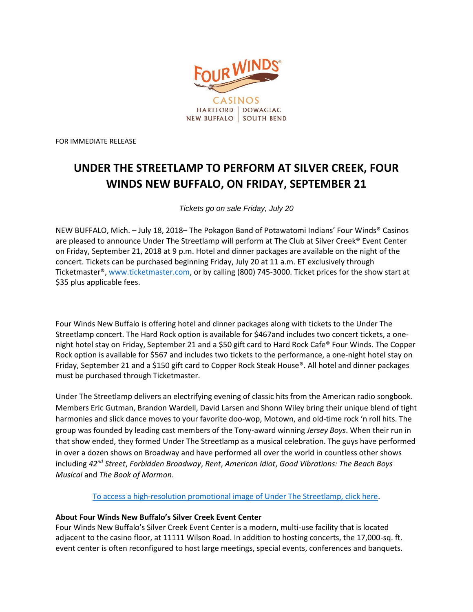

FOR IMMEDIATE RELEASE

## **UNDER THE STREETLAMP TO PERFORM AT SILVER CREEK, FOUR WINDS NEW BUFFALO, ON FRIDAY, SEPTEMBER 21**

*Tickets go on sale Friday, July 20*

NEW BUFFALO, Mich. – July 18, 2018– The Pokagon Band of Potawatomi Indians' Four Winds® Casinos are pleased to announce Under The Streetlamp will perform at The Club at Silver Creek® Event Center on Friday, September 21, 2018 at 9 p.m. Hotel and dinner packages are available on the night of the concert. Tickets can be purchased beginning Friday, July 20 at 11 a.m. ET exclusively through Ticketmaster®, [www.ticketmaster.com,](https://www.ticketmaster.com/Silver-Creek-Event-Center-at-Four-tickets-New-Buffalo/venue/33143) or by calling (800) 745-3000. Ticket prices for the show start at \$35 plus applicable fees.

Four Winds New Buffalo is offering hotel and dinner packages along with tickets to the Under The Streetlamp concert. The Hard Rock option is available for \$467and includes two concert tickets, a onenight hotel stay on Friday, September 21 and a \$50 gift card to Hard Rock Cafe® Four Winds. The Copper Rock option is available for \$567 and includes two tickets to the performance, a one-night hotel stay on Friday, September 21 and a \$150 gift card to Copper Rock Steak House®. All hotel and dinner packages must be purchased through Ticketmaster.

Under The Streetlamp delivers an electrifying evening of classic hits from the American radio songbook. Members Eric Gutman, Brandon Wardell, David Larsen and Shonn Wiley bring their unique blend of tight harmonies and slick dance moves to your favorite doo-wop, Motown, and old-time rock 'n roll hits. The group was founded by leading cast members of the Tony-award winning *Jersey Boys*. When their run in that show ended, they formed Under The Streetlamp as a musical celebration. The guys have performed in over a dozen shows on Broadway and have performed all over the world in countless other shows including *42nd Street*, *Forbidden Broadway*, *Rent*, *American Idiot*, *Good Vibrations: The Beach Boys Musical* and *The Book of Mormon*.

To access a high-resolution promotional [image of Under The Streetlamp,](https://www.dropbox.com/sh/dx12u76rb39qz7h/AACktLRdUiX4wShcVVpdCGhxa?dl=0) click here.

## **About Four Winds New Buffalo's Silver Creek Event Center**

Four Winds New Buffalo's Silver Creek Event Center is a modern, multi-use facility that is located adjacent to the casino floor, at 11111 Wilson Road. In addition to hosting concerts, the 17,000-sq. ft. event center is often reconfigured to host large meetings, special events, conferences and banquets.